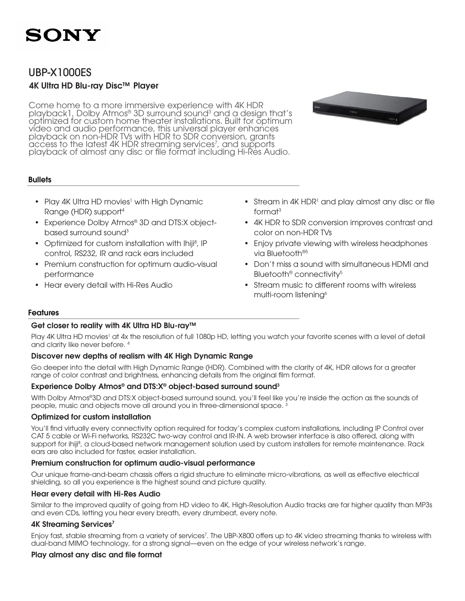## UBP-X1000ES

### 4K Ultra HD Blu-ray Disc™ Player

Come home to a more immersive experience with 4K HDR playback1, Dolby Atmos® 3D surround sound<sup>3</sup> and a design that's optimized for custom home theater installations. Built for optimum video and audio performance, this universal player enhances playback on non-HDR TVs with HDR to SDR conversion, grants access to the latest 4K HDR streaming services<sup>7</sup>, and supports playback of almost any disc or file format including Hi-Res Audio.

### **Bullets**

- Play 4K Ultra HD movies<sup>1</sup> with High Dynamic Range (HDR) support4
- Experience Dolby Atmos<sup>®</sup> 3D and DTS:X objectbased surround sound $3$
- Optimized for custom installation with Ihiji<sup>8</sup>, IP control, RS232, IR and rack ears included
- Premium construction for optimum audio-visual performance
- Hear every detail with Hi-Res Audio
- Stream in 4K HDR<sup>1</sup> and play almost any disc or file format3
- 4K HDR to SDR conversion improves contrast and color on non-HDR TVs
- Enjoy private viewing with wireless headphones via Bluetooth®5
- • Don't miss a sound with simultaneous HDMI and Bluetooth<sup>®</sup> connectivity<sup>5</sup>
- Stream music to different rooms with wireless multi-room listening<sup>6</sup>

### Features

### Get closer to reality with 4K Ultra HD Blu-ray™

Play 4K Ultra HD movies<sup>1</sup> at 4x the resolution of full 1080p HD, letting you watch your favorite scenes with a level of detail and clarity like never before. 4

### Discover new depths of realism with 4K High Dynamic Range

Go deeper into the detail with High Dynamic Range (HDR). Combined with the clarity of 4K, HDR allows for a greater range of color contrast and brightness, enhancing details from the original film format.

### Experience Dolby Atmos® and DTS:X® object-based surround sound3

With Dolby Atmos®3D and DTS:X object-based surround sound, you'll feel like you're inside the action as the sounds of people, music and objects move all around you in three-dimensional space.<sup>3</sup>

### Optimized for custom installation

You'll find virtually every connectivity option required for today's complex custom installations, including IP Control over CAT 5 cable or Wi-Fi networks, RS232C two-way control and IR-IN. A web browser interface is also offered, along with support for ihiji<sup>8</sup>, a cloud-based network management solution used by custom installers for remote maintenance. Rack ears are also included for faster, easier installation.

### Premium construction for optimum audio-visual performance

Our unique frame-and-beam chassis offers a rigid structure to eliminate micro-vibrations, as well as effective electrical shielding, so all you experience is the highest sound and picture quality.

### Hear every detail with Hi-Res Audio

Similar to the improved quality of going from HD video to 4K, High-Resolution Audio tracks are far higher quality than MP3s and even CDs, letting you hear every breath, every drumbeat, every note.

### 4K Streaming Services<sup>7</sup>

Enjoy fast, stable streaming from a variety of services<sup>7</sup>. The UBP-X800 offers up to 4K video streaming thanks to wireless with dual-band MIMO technology, for a strong signal—even on the edge of your wireless network's range.

### Play almost any disc and file format

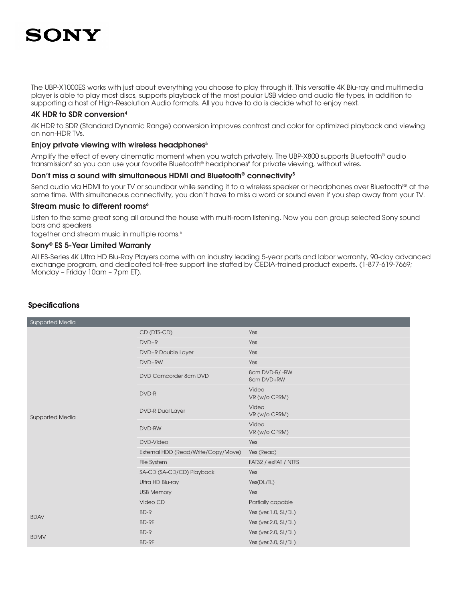The UBP-X1000ES works with just about everything you choose to play through it. This versatile 4K Blu-ray and multimedia player is able to play most discs, supports playback of the most poular USB video and audio file types, in addition to supporting a host of High-Resolution Audio formats. All you have to do is decide what to enjoy next.

### 4K HDR to SDR conversion4

4K HDR to SDR (Standard Dynamic Range) conversion improves contrast and color for optimized playback and viewing on non-HDR TVs.

### Enjoy private viewing with wireless headphones<sup>5</sup>

Amplify the effect of every cinematic moment when you watch privately. The UBP-X800 supports Bluetooth® audio transmission<sup>s</sup> so you can use your favorite Bluetooth® headphones<sup>s</sup> for private viewing, without wires.

### Don't miss a sound with simultaneous HDMI and Bluetooth<sup>®</sup> connectivity<sup>5</sup>

Send audio via HDMI to your TV or soundbar while sending it to a wireless speaker or headphones over Bluetooth<sup>®5</sup> at the same time. With simultaneous connectivity, you don't have to miss a word or sound even if you step away from your TV.

### Stream music to different rooms<sup>6</sup>

Listen to the same great song all around the house with multi-room listening. Now you can group selected Sony sound bars and speakers

together and stream music in multiple rooms.<sup>6</sup>

### Sony® ES 5-Year Limited Warranty

All ES-Series 4K Ultra HD Blu-Ray Players come with an industry leading 5-year parts and labor warranty, 90-day advanced exchange program, and dedicated toll-free support line staffed by CEDIA-trained product experts. (1-877-619-7669; Monday – Friday 10am – 7pm ET).

| Supported Media        |                                     |                             |
|------------------------|-------------------------------------|-----------------------------|
| <b>Supported Media</b> | CD (DTS-CD)                         | Yes                         |
|                        | $DVD + R$                           | Yes                         |
|                        | DVD+R Double Layer                  | Yes                         |
|                        | DVD+RW                              | Yes                         |
|                        | DVD Camcorder 8cm DVD               | 8cm DVD-R/-RW<br>8cm DVD+RW |
|                        | DVD-R                               | Video<br>VR (w/o CPRM)      |
|                        | <b>DVD-R Dual Layer</b>             | Video<br>VR (w/o CPRM)      |
|                        | DVD-RW                              | Video<br>VR (w/o CPRM)      |
|                        | <b>DVD-Video</b>                    | Yes                         |
|                        | External HDD (Read/Write/Copy/Move) | Yes (Read)                  |
|                        | File System                         | FAT32 / exFAT / NTFS        |
|                        | SA-CD (SA-CD/CD) Playback           | Yes                         |
|                        | Ultra HD Blu-ray                    | Yes(DL/TL)                  |
|                        | <b>USB Memory</b>                   | Yes                         |
|                        | Video CD                            | Partially capable           |
| <b>BDAV</b>            | BD-R                                | Yes (ver.1.0, SL/DL)        |
|                        | <b>BD-RE</b>                        | Yes (ver.2.0, SL/DL)        |
| <b>BDMV</b>            | BD-R                                | Yes (ver.2.0, SL/DL)        |
|                        | <b>BD-RE</b>                        | Yes (ver.3.0, SL/DL)        |

### **Specifications**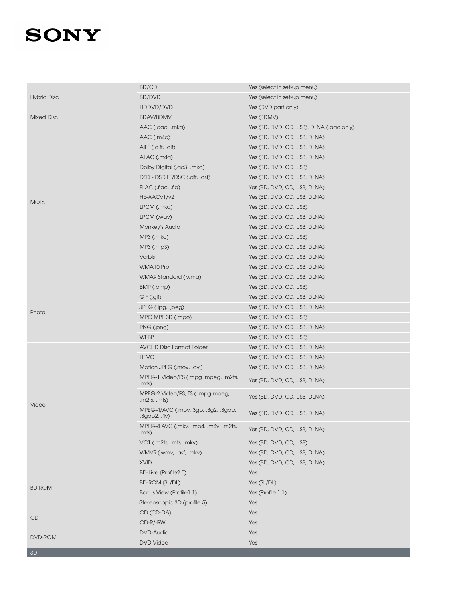| <b>Hybrid Disc</b><br><b>BD/DVD</b><br>Yes (select in set-up menu)<br>HDDVD/DVD<br>Yes (DVD part only)<br><b>Mixed Disc</b><br><b>BDAV/BDMV</b><br>Yes (BDMV)<br>Yes (BD, DVD, CD, USB), DLNA (.aac only)<br>AAC (.aac, .mka)<br>$AAC$ (.m4a)<br>Yes (BD, DVD, CD, USB, DLNA)<br>AIFF (.aiff, .aif)<br>Yes (BD, DVD, CD, USB, DLNA) |
|-------------------------------------------------------------------------------------------------------------------------------------------------------------------------------------------------------------------------------------------------------------------------------------------------------------------------------------|
|                                                                                                                                                                                                                                                                                                                                     |
|                                                                                                                                                                                                                                                                                                                                     |
|                                                                                                                                                                                                                                                                                                                                     |
|                                                                                                                                                                                                                                                                                                                                     |
|                                                                                                                                                                                                                                                                                                                                     |
|                                                                                                                                                                                                                                                                                                                                     |
| ALAC (.m4a)<br>Yes (BD, DVD, CD, USB, DLNA)                                                                                                                                                                                                                                                                                         |
| Dolby Digital (.ac3, .mka)<br>Yes (BD, DVD, CD, USB)                                                                                                                                                                                                                                                                                |
| DSD - DSDIFF/DSC (.dff, .dsf)<br>Yes (BD, DVD, CD, USB, DLNA)                                                                                                                                                                                                                                                                       |
| FLAC (.flac, .fla)<br>Yes (BD, DVD, CD, USB, DLNA)                                                                                                                                                                                                                                                                                  |
| HE-AACv1/v2<br>Yes (BD, DVD, CD, USB, DLNA)<br><b>Music</b>                                                                                                                                                                                                                                                                         |
| LPCM (.mka)<br>Yes (BD, DVD, CD, USB)                                                                                                                                                                                                                                                                                               |
| LPCM (.wav)<br>Yes (BD, DVD, CD, USB, DLNA)                                                                                                                                                                                                                                                                                         |
| Yes (BD, DVD, CD, USB, DLNA)<br>Monkey's Audio                                                                                                                                                                                                                                                                                      |
| MP3 (.mka)<br>Yes (BD, DVD, CD, USB)                                                                                                                                                                                                                                                                                                |
| MP3 (.mp3)<br>Yes (BD, DVD, CD, USB, DLNA)                                                                                                                                                                                                                                                                                          |
| Vorbis<br>Yes (BD, DVD, CD, USB, DLNA)                                                                                                                                                                                                                                                                                              |
| WMA10 Pro<br>Yes (BD, DVD, CD, USB, DLNA)                                                                                                                                                                                                                                                                                           |
| WMA9 Standard (.wma)<br>Yes (BD, DVD, CD, USB, DLNA)                                                                                                                                                                                                                                                                                |
| BMP (.bmp)<br>Yes (BD, DVD, CD, USB)                                                                                                                                                                                                                                                                                                |
| GIF (.gif)<br>Yes (BD, DVD, CD, USB, DLNA)                                                                                                                                                                                                                                                                                          |
| Yes (BD, DVD, CD, USB, DLNA)<br>JPEG (.jpg, .jpeg)<br>Photo                                                                                                                                                                                                                                                                         |
| MPO MPF 3D (.mpo)<br>Yes (BD, DVD, CD, USB)                                                                                                                                                                                                                                                                                         |
| PNG (.png)<br>Yes (BD, DVD, CD, USB, DLNA)                                                                                                                                                                                                                                                                                          |
| WEBP<br>Yes (BD, DVD, CD, USB)                                                                                                                                                                                                                                                                                                      |
| <b>AVCHD Disc Format Folder</b><br>Yes (BD, DVD, CD, USB, DLNA)                                                                                                                                                                                                                                                                     |
| <b>HEVC</b><br>Yes (BD, DVD, CD, USB, DLNA)                                                                                                                                                                                                                                                                                         |
| Motion JPEG (.mov, .avi)<br>Yes (BD, DVD, CD, USB, DLNA)                                                                                                                                                                                                                                                                            |
| MPEG-1 Video/PS (.mpg .mpeg, .m2ts,<br>Yes (BD, DVD, CD, USB, DLNA)<br>.mts)                                                                                                                                                                                                                                                        |
| MPEG-2 Video/PS, TS ( .mpg.mpeg,<br>Yes (BD, DVD, CD, USB, DLNA)<br>m2ts, .mts)<br>Video                                                                                                                                                                                                                                            |
| MPEG-4/AVC (.mov, 3gp, .3g2, .3gpp,<br>Yes (BD, DVD, CD, USB, DLNA)<br>$3qpp2$ , $fiv)$                                                                                                                                                                                                                                             |
| MPEG-4 AVC (.mkv, .mp4, .m4v, .m2ts,<br>Yes (BD, DVD, CD, USB, DLNA)<br>.mts)                                                                                                                                                                                                                                                       |
| Yes (BD, DVD, CD, USB)<br>VC1 (.m2ts, .mts, .mkv)                                                                                                                                                                                                                                                                                   |
| Yes (BD, DVD, CD, USB, DLNA)<br>WMV9 (.wmv, .asf, .mkv)                                                                                                                                                                                                                                                                             |
| <b>XVID</b><br>Yes (BD, DVD, CD, USB, DLNA)                                                                                                                                                                                                                                                                                         |
| BD-Live (Profile2.0)<br>Yes                                                                                                                                                                                                                                                                                                         |
| BD-ROM (SL/DL)<br>Yes (SL/DL)<br><b>BD-ROM</b>                                                                                                                                                                                                                                                                                      |
| Bonus View (Profile1.1)<br>Yes (Profile 1.1)                                                                                                                                                                                                                                                                                        |
| Stereoscopic 3D (profile 5)<br>Yes                                                                                                                                                                                                                                                                                                  |
| Yes<br>CD (CD-DA)<br>CD                                                                                                                                                                                                                                                                                                             |
| CD-R/-RW<br>Yes                                                                                                                                                                                                                                                                                                                     |
| Yes<br><b>DVD-Audio</b><br>DVD-ROM                                                                                                                                                                                                                                                                                                  |
| <b>DVD-Video</b><br>Yes<br>3D                                                                                                                                                                                                                                                                                                       |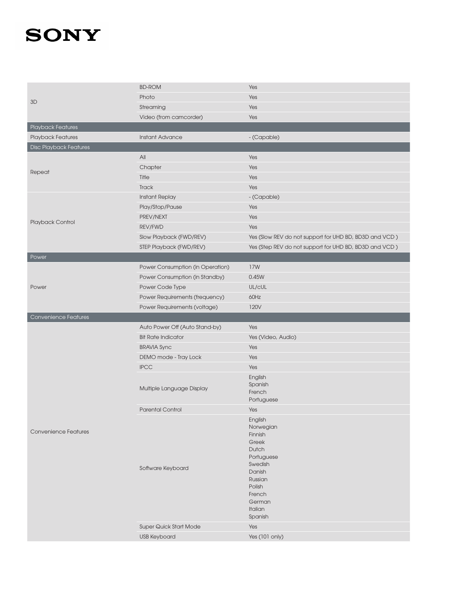| 3D                            | <b>BD-ROM</b>                    | Yes                                                    |
|-------------------------------|----------------------------------|--------------------------------------------------------|
|                               | Photo                            | Yes                                                    |
|                               | Streaming                        | Yes                                                    |
|                               | Video (from camcorder)           | Yes                                                    |
| Playback Features             |                                  |                                                        |
| Playback Features             | <b>Instant Advance</b>           | - (Capable)                                            |
| <b>Disc Playback Features</b> |                                  |                                                        |
|                               | All                              | Yes                                                    |
| Repeat                        | Chapter                          | Yes                                                    |
|                               | Title                            | Yes                                                    |
|                               | Track                            | Yes                                                    |
|                               | <b>Instant Replay</b>            | - (Capable)                                            |
|                               | Play/Stop/Pause                  | Yes                                                    |
| Playback Control              | PREV/NEXT                        | Yes                                                    |
|                               | REV/FWD                          | Yes                                                    |
|                               | Slow Playback (FWD/REV)          | Yes (Slow REV do not support for UHD BD, BD3D and VCD) |
|                               | STEP Playback (FWD/REV)          | Yes (Step REV do not support for UHD BD, BD3D and VCD) |
| Power                         |                                  |                                                        |
|                               | Power Consumption (in Operation) | 17W                                                    |
|                               | Power Consumption (in Standby)   | 0.45W                                                  |
| Power                         | Power Code Type                  | UL/cUL                                                 |
|                               | Power Requirements (frequency)   | 60Hz                                                   |
|                               | Power Requirements (voltage)     | 120V                                                   |
|                               |                                  |                                                        |
| Convenience Features          |                                  |                                                        |
|                               | Auto Power Off (Auto Stand-by)   | Yes                                                    |
|                               | <b>Bit Rate Indicator</b>        | Yes (Video, Audio)                                     |
|                               | <b>BRAVIA Sync</b>               | Yes                                                    |
|                               | DEMO mode - Tray Lock            | Yes                                                    |
|                               | <b>IPCC</b>                      | Yes                                                    |
|                               |                                  | English                                                |
|                               | Multiple Language Display        | Spanish                                                |
|                               |                                  | French<br>Portuguese                                   |
|                               | <b>Parental Control</b>          | Yes                                                    |
|                               |                                  | English                                                |
|                               |                                  | Norwegian                                              |
| <b>Convenience Features</b>   |                                  | Finnish                                                |
|                               |                                  | Greek                                                  |
|                               |                                  | Dutch<br>Portuguese                                    |
|                               |                                  | Swedish                                                |
|                               | Software Keyboard                | Danish                                                 |
|                               |                                  | Russian                                                |
|                               |                                  | Polish                                                 |
|                               |                                  | French<br>German                                       |
|                               |                                  | Italian                                                |
|                               |                                  | Spanish                                                |
|                               | Super Quick Start Mode           | Yes                                                    |
|                               | <b>USB Keyboard</b>              | Yes (101 only)                                         |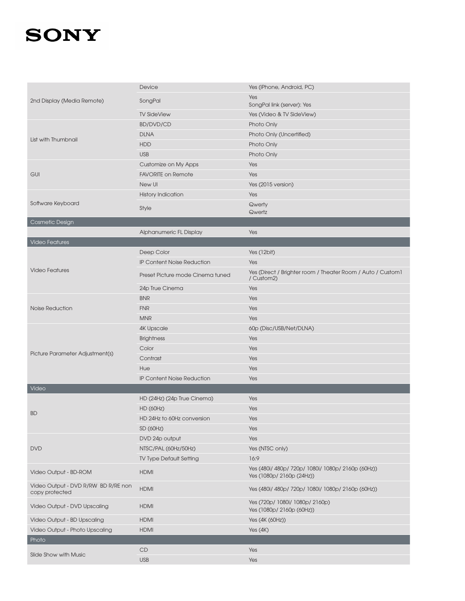| 2nd Display (Media Remote)                            | Device                            | Yes (iPhone, Android, PC)                                                  |
|-------------------------------------------------------|-----------------------------------|----------------------------------------------------------------------------|
|                                                       | SongPal                           | Yes                                                                        |
|                                                       |                                   | SongPal link (server): Yes                                                 |
|                                                       | <b>TV SideView</b>                | Yes (Video & TV SideView)                                                  |
|                                                       | <b>BD/DVD/CD</b>                  | Photo Only                                                                 |
| List with Thumbnail                                   | <b>DLNA</b>                       | Photo Only (Uncertified)                                                   |
|                                                       | <b>HDD</b>                        | Photo Only                                                                 |
|                                                       | <b>USB</b>                        | Photo Only                                                                 |
|                                                       | Customize on My Apps              | Yes                                                                        |
| <b>GUI</b>                                            | <b>FAVORITE on Remote</b>         | Yes                                                                        |
|                                                       | New UI                            | Yes (2015 version)                                                         |
|                                                       | <b>History Indication</b>         | Yes                                                                        |
| Software Keyboard                                     | Style                             | Qwerty                                                                     |
|                                                       |                                   | Qwertz                                                                     |
| Cosmetic Design                                       |                                   |                                                                            |
|                                                       | Alphanumeric FL Display           | Yes                                                                        |
| <b>Video Features</b>                                 |                                   |                                                                            |
|                                                       | Deep Color                        | Yes (12bit)                                                                |
|                                                       | <b>IP Content Noise Reduction</b> | Yes                                                                        |
| <b>Video Features</b>                                 | Preset Picture mode Cinema tuned  | Yes (Direct / Brighter room / Theater Room / Auto / Custom 1<br>/ Custom2) |
|                                                       | 24p True Cinema                   | Yes                                                                        |
|                                                       | <b>BNR</b>                        | Yes                                                                        |
| <b>Noise Reduction</b>                                | <b>FNR</b>                        | Yes                                                                        |
|                                                       | <b>MNR</b>                        | Yes                                                                        |
|                                                       | <b>4K Upscale</b>                 | 60p (Disc/USB/Net/DLNA)                                                    |
|                                                       | <b>Brightness</b>                 | Yes                                                                        |
|                                                       | Color                             | Yes                                                                        |
| Picture Parameter Adjustment(s)                       | Contrast                          | Yes                                                                        |
|                                                       | Hue                               | Yes                                                                        |
|                                                       | <b>IP Content Noise Reduction</b> | Yes                                                                        |
| Video                                                 |                                   |                                                                            |
|                                                       | HD (24Hz) (24p True Cinema)       | Yes                                                                        |
|                                                       | <b>HD (60Hz)</b>                  | Yes                                                                        |
| <b>BD</b>                                             | HD 24Hz to 60Hz conversion        | Yes                                                                        |
|                                                       | SD (60Hz)                         | Yes                                                                        |
|                                                       | DVD 24p output                    | Yes                                                                        |
| <b>DVD</b>                                            | NTSC/PAL (60Hz/50Hz)              | Yes (NTSC only)                                                            |
|                                                       | TV Type Default Setting           | 16:9                                                                       |
|                                                       |                                   | Yes (480i/ 480p/ 720p/ 1080i/ 1080p/ 2160p (60Hz))                         |
| Video Output - BD-ROM                                 | <b>HDMI</b>                       | Yes (1080p/ 2160p (24Hz))                                                  |
| Video Output - DVD R/RW BD R/RE non<br>copy protected | <b>HDMI</b>                       | Yes (480i/ 480p/ 720p/ 1080i/ 1080p/ 2160p (60Hz))                         |
| Video Output - DVD Upscaling                          | <b>HDMI</b>                       | Yes (720p/ 1080i/ 1080p/ 2160p)<br>Yes (1080p/ 2160p (60Hz))               |
| Video Output - BD Upscaling                           | <b>HDMI</b>                       | Yes (4K (60Hz))                                                            |
| Video Output - Photo Upscaling                        | <b>HDMI</b>                       | Yes $(4K)$                                                                 |
| Photo                                                 |                                   |                                                                            |
|                                                       | CD                                | Yes                                                                        |
| Slide Show with Music                                 | <b>USB</b>                        | Yes                                                                        |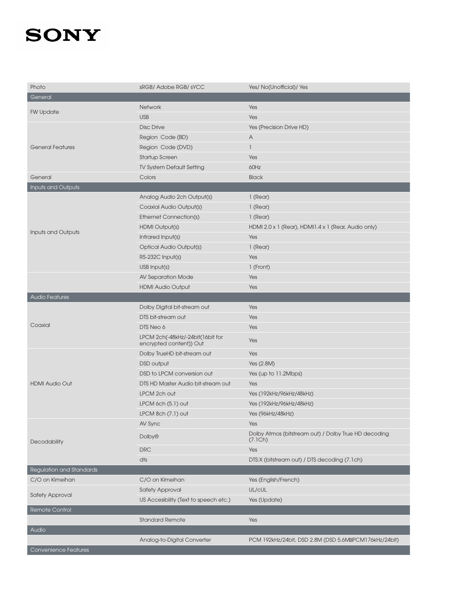| Photo                    | sRGB/ Adobe RGB/ sYCC                                       | Yes/ No(Unofficial)/ Yes                                        |
|--------------------------|-------------------------------------------------------------|-----------------------------------------------------------------|
| General                  |                                                             |                                                                 |
|                          | Network                                                     | Yes                                                             |
| <b>FW Update</b>         | <b>USB</b>                                                  | Yes                                                             |
|                          | <b>Disc Drive</b>                                           | Yes (Precision Drive HD)                                        |
|                          | Region Code (BD)                                            | A                                                               |
| <b>General Features</b>  | Region Code (DVD)                                           | 1                                                               |
|                          | Startup Screen                                              | Yes                                                             |
|                          | TV System Default Setting                                   | 60Hz                                                            |
| General                  | Colors                                                      | <b>Black</b>                                                    |
| Inputs and Outputs       |                                                             |                                                                 |
|                          | Analog Audio 2ch Output(s)                                  | 1 (Rear)                                                        |
|                          | Coaxial Audio Output(s)                                     | 1 (Rear)                                                        |
|                          | <b>Ethernet Connection(s)</b>                               | 1 (Rear)                                                        |
|                          | HDMI Output(s)                                              | HDMI 2.0 x 1 (Rear), HDMI1.4 x 1 (Rear, Audio only)             |
| Inputs and Outputs       | Infrared Input(s)                                           | Yes                                                             |
|                          | Optical Audio Output(s)                                     | 1 (Rear)                                                        |
|                          | RS-232C Input(s)                                            | Yes                                                             |
|                          | USB Input(s)                                                | 1 (Front)                                                       |
|                          | AV Separation Mode                                          | Yes                                                             |
|                          | <b>HDMI Audio Output</b>                                    | Yes                                                             |
| <b>Audio Features</b>    |                                                             |                                                                 |
|                          | Dolby Digital bit-stream out                                | Yes                                                             |
|                          | DTS bit-stream out                                          | Yes                                                             |
| Coaxial                  | DTS Neo 6                                                   | Yes                                                             |
|                          | LPCM 2ch(-48kHz/-24bit(16bit for<br>encrypted content)) Out | Yes                                                             |
|                          | Dolby TrueHD bit-stream out                                 | Yes                                                             |
|                          | DSD output                                                  | Yes (2.8M)                                                      |
|                          | DSD to LPCM conversion out                                  | Yes (up to 11.2Mbps)                                            |
| <b>HDMI Audio Out</b>    | DTS HD Master Audio bit-stream out                          | Yes                                                             |
|                          | LPCM 2ch out                                                | Yes (192kHz/96kHz/48kHz)                                        |
|                          | LPCM 6ch (5.1) out                                          | Yes (192kHz/96kHz/48kHz)                                        |
|                          | LPCM 8ch $(7.1)$ out                                        | Yes (96kHz/48kHz)                                               |
| Decodability             | AV Sync                                                     | Yes                                                             |
|                          | <b>Dolby®</b>                                               | Dolby Atmos (bitstream out) / Dolby True HD decoding<br>(7.1Ch) |
|                          | <b>DRC</b>                                                  | Yes                                                             |
|                          | dts                                                         | DTS:X (bitstream out) / DTS decoding (7.1ch)                    |
| Regulation and Standards |                                                             |                                                                 |
| C/O on Kimeihan          | C/O on Kimeihan                                             | Yes (English/French)                                            |
| <b>Safety Approval</b>   | <b>Safety Approval</b>                                      | UL/cUL                                                          |
|                          | US Accesibility (Text to speech etc.)                       | Yes (Update)                                                    |
| <b>Remote Control</b>    |                                                             |                                                                 |
|                          | <b>Standard Remote</b>                                      | Yes                                                             |
| Audio                    |                                                             |                                                                 |
|                          | Analog-to-Digital Converter                                 | PCM 192kHz/24bit, DSD 2.8M (DSD 5.6M PCM176kHz/24bit)           |
| Convenience Features     |                                                             |                                                                 |